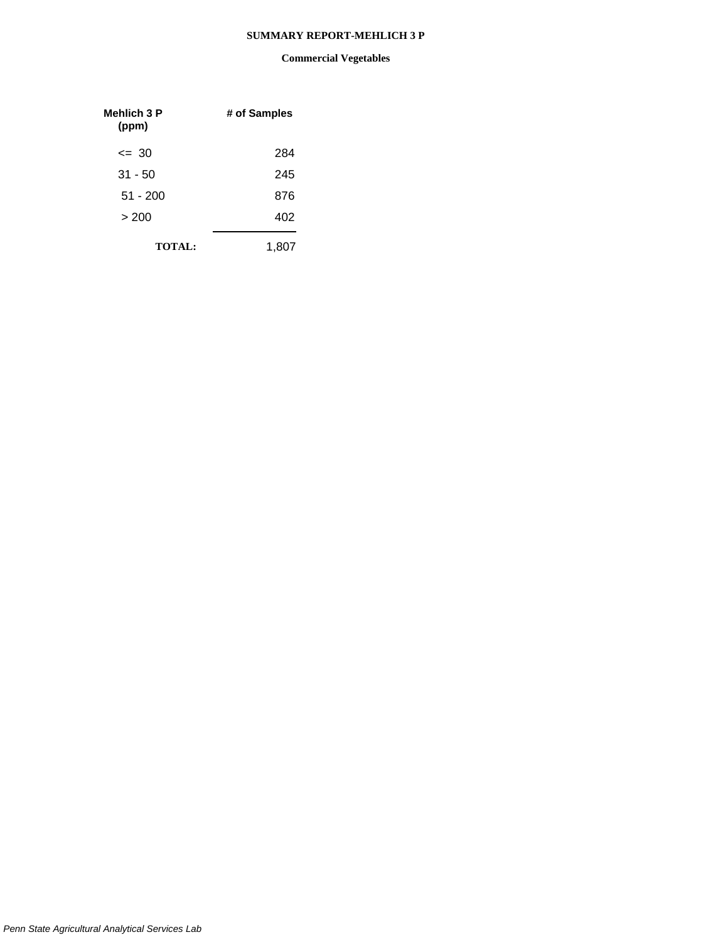#### **SUMMARY REPORT-MEHLICH 3 P**

| Mehlich 3 P<br>(ppm) | # of Samples |
|----------------------|--------------|
| $\leq$ 30            | 284          |
| $31 - 50$            | 245          |
| $51 - 200$           | 876          |
| >200                 | 402          |
| <b>TOTAL:</b>        | 1,807        |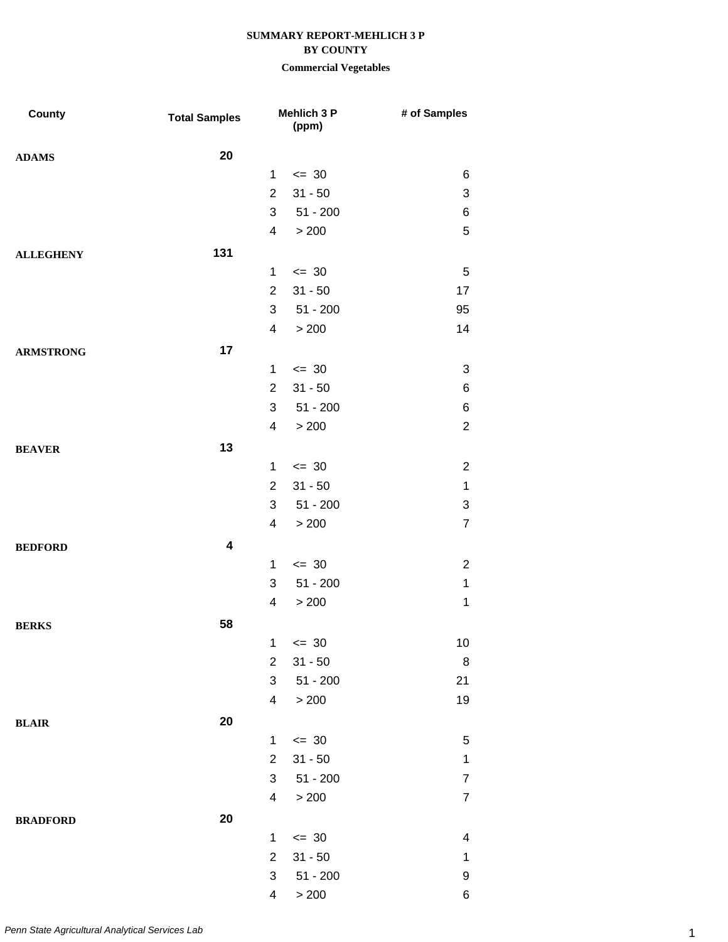| <b>County</b>    | <b>Total Samples</b> |                | Mehlich 3 P<br>(ppm) | # of Samples   |
|------------------|----------------------|----------------|----------------------|----------------|
| <b>ADAMS</b>     | 20                   |                |                      |                |
|                  |                      | $\mathbf{1}$   | $\leq$ 30            | 6              |
|                  |                      | $\overline{2}$ | $31 - 50$            | 3              |
|                  |                      | 3              | $51 - 200$           | 6              |
|                  |                      | 4              | > 200                | $\mathbf 5$    |
| <b>ALLEGHENY</b> | 131                  |                |                      |                |
|                  |                      | $\mathbf{1}$   | $\leq$ 30            | $\sqrt{5}$     |
|                  |                      | $\overline{2}$ | $31 - 50$            | 17             |
|                  |                      | 3              | $51 - 200$           | 95             |
|                  |                      | 4              | > 200                | 14             |
| <b>ARMSTRONG</b> | 17                   |                |                      |                |
|                  |                      | $\mathbf{1}$   | $= 30$               | 3              |
|                  |                      | $\overline{2}$ | $31 - 50$            | 6              |
|                  |                      | 3              | $51 - 200$           | $\,6$          |
|                  |                      | 4              | > 200                | $\overline{2}$ |
| <b>BEAVER</b>    | 13                   |                |                      |                |
|                  |                      | $\mathbf{1}$   | $\leq$ 30            | $\overline{c}$ |
|                  |                      | $\overline{2}$ | $31 - 50$            | $\mathbf 1$    |
|                  |                      | 3              | $51 - 200$           | 3              |
|                  |                      | 4              | > 200                | $\overline{7}$ |
| <b>BEDFORD</b>   | 4                    |                |                      |                |
|                  |                      | $\mathbf{1}$   | $\leq$ 30            | $\overline{2}$ |
|                  |                      | 3              | $51 - 200$           | $\mathbf 1$    |
|                  |                      | 4              | > 200                | $\mathbf 1$    |
| <b>BERKS</b>     | 58                   |                |                      |                |
|                  |                      | 1 <sub>1</sub> | $\leq$ 30            | $10$           |
|                  |                      | $\overline{2}$ | $31 - 50$            | $\bf8$         |
|                  |                      | 3              | $51 - 200$           | 21             |
|                  |                      | 4              | $>200\,$             | 19             |
| <b>BLAIR</b>     | 20                   |                |                      |                |
|                  |                      | $\mathbf{1}$   | $\leq$ 30            | 5              |
|                  |                      | $\overline{2}$ | $31 - 50$            | $\mathbf 1$    |
|                  |                      | 3              | $51 - 200$           | 7              |
|                  |                      | 4              | $>200$               | $\overline{7}$ |
| <b>BRADFORD</b>  | 20                   |                |                      |                |
|                  |                      | 1              | $\leq$ 30            | 4              |
|                  |                      | $\overline{2}$ | $31 - 50$            | $\mathbf 1$    |
|                  |                      | 3              | $51 - 200$           | 9              |
|                  |                      | 4              | > 200                | 6              |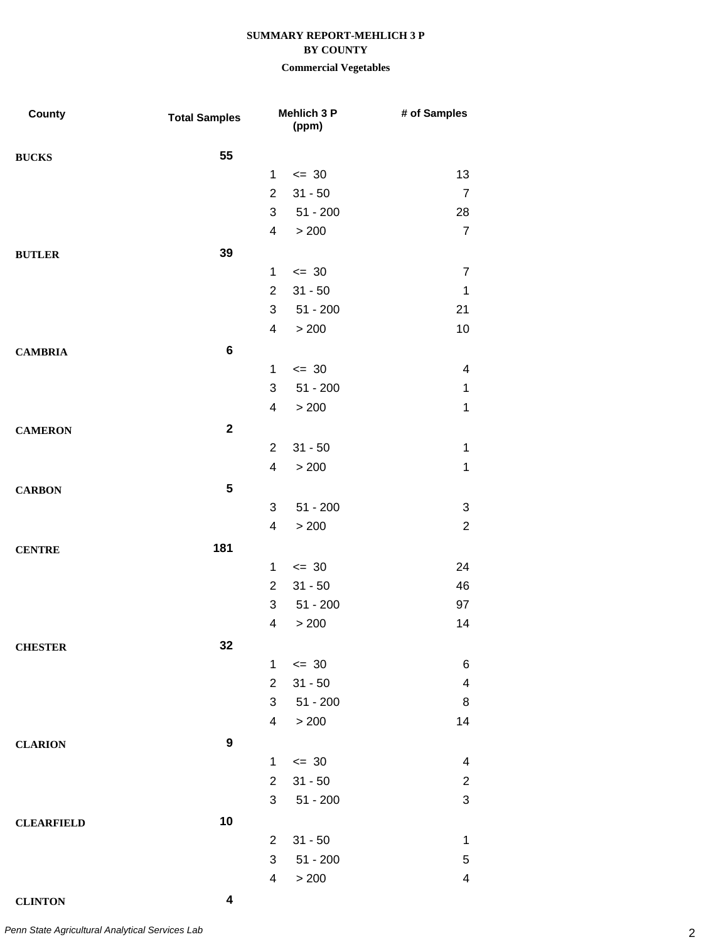## **Commercial Vegetables**

| County            | <b>Total Samples</b> |                         | Mehlich 3 P<br>(ppm) | # of Samples             |
|-------------------|----------------------|-------------------------|----------------------|--------------------------|
| <b>BUCKS</b>      | 55                   |                         |                      |                          |
|                   |                      | $\mathbf{1}$            | $\leq$ 30            | 13                       |
|                   |                      | $\overline{2}$          | $31 - 50$            | $\overline{7}$           |
|                   |                      | 3                       | $51 - 200$           | 28                       |
|                   |                      | 4                       | > 200                | $\overline{7}$           |
| <b>BUTLER</b>     | 39                   |                         |                      |                          |
|                   |                      | 1                       | $\leq$ 30            | $\overline{7}$           |
|                   |                      | $\overline{2}$          | $31 - 50$            | $\mathbf 1$              |
|                   |                      | 3                       | $51 - 200$           | 21                       |
|                   |                      | 4                       | > 200                | 10                       |
| <b>CAMBRIA</b>    | $\bf 6$              |                         |                      |                          |
|                   |                      | $\mathbf{1}$            | $\leq$ 30            | $\overline{\mathbf{4}}$  |
|                   |                      | 3                       | $51 - 200$           | $\mathbf 1$              |
|                   |                      | $\overline{4}$          | > 200                | $\mathbf 1$              |
| <b>CAMERON</b>    | $\mathbf 2$          |                         |                      |                          |
|                   |                      | $\overline{2}$          | $31 - 50$            | $\mathbf 1$              |
|                   |                      | $\overline{\mathbf{4}}$ | > 200                | $\mathbf 1$              |
| <b>CARBON</b>     | ${\bf 5}$            |                         |                      |                          |
|                   |                      | 3                       | $51 - 200$           | 3                        |
|                   |                      | 4                       | > 200                | $\overline{2}$           |
| <b>CENTRE</b>     | 181                  |                         |                      |                          |
|                   |                      | $\mathbf{1}$            | $\leq$ 30            | 24                       |
|                   |                      | $\overline{2}$          | $31 - 50$            | 46                       |
|                   |                      | 3                       | $51 - 200$           | 97                       |
|                   |                      | 4                       | > 200                | 14                       |
| <b>CHESTER</b>    | 32                   |                         |                      |                          |
|                   |                      | $\mathbf{1}$            | $\leq$ 30            | 6                        |
|                   |                      | $\overline{2}$          | $31 - 50$            | $\overline{\mathcal{A}}$ |
|                   |                      | 3                       | $51 - 200$           | 8                        |
|                   |                      | $\overline{4}$          | > 200                | 14                       |
| <b>CLARION</b>    | 9                    |                         |                      |                          |
|                   |                      | $\mathbf{1}$            | $\leq$ 30            | 4                        |
|                   |                      | $\overline{2}$          | $31 - 50$            | $\overline{c}$           |
|                   |                      | 3                       | $51 - 200$           | 3                        |
| <b>CLEARFIELD</b> | 10                   |                         |                      |                          |
|                   |                      | $\overline{2}$          | $31 - 50$            | $\mathbf 1$              |
|                   |                      | 3                       | $51 - 200$           | 5                        |
|                   |                      | 4                       | > 200                | 4                        |

**CLINTON 4**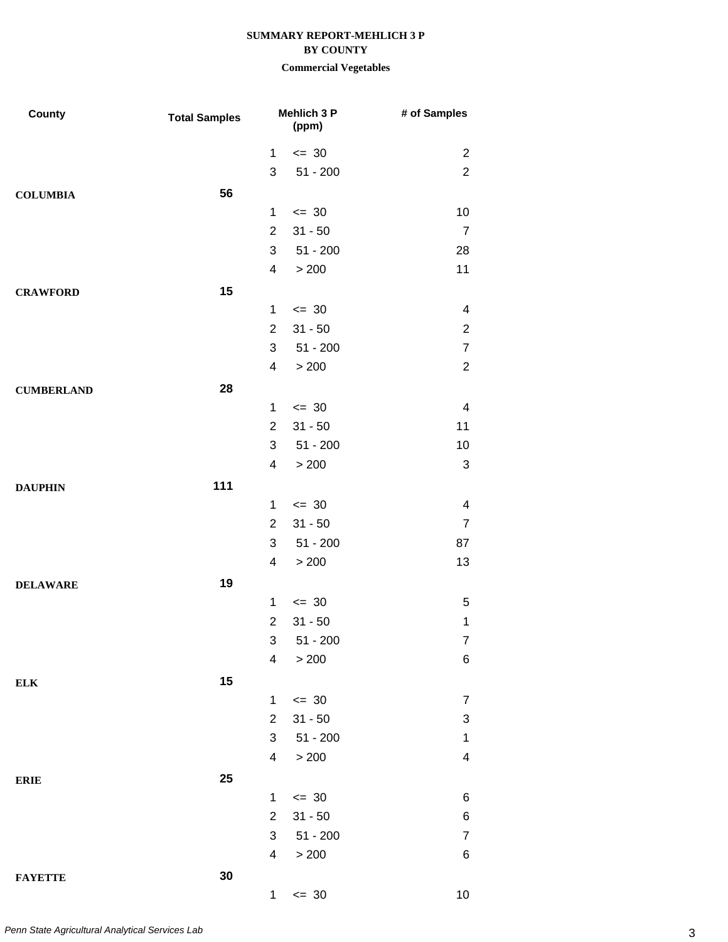| County            | <b>Total Samples</b> |                          | Mehlich 3 P<br>(ppm) | # of Samples            |
|-------------------|----------------------|--------------------------|----------------------|-------------------------|
|                   |                      | $\mathbf{1}$             | $\leq$ 30            | $\overline{2}$          |
|                   |                      | 3                        | $51 - 200$           | $\overline{2}$          |
| <b>COLUMBIA</b>   | 56                   |                          |                      |                         |
|                   |                      | $\mathbf{1}$             | $\leq$ 30            | 10                      |
|                   |                      | $\overline{2}$           | $31 - 50$            | $\overline{7}$          |
|                   |                      | 3                        | $51 - 200$           | 28                      |
|                   |                      | $\overline{4}$           | > 200                | 11                      |
| <b>CRAWFORD</b>   | 15                   |                          |                      |                         |
|                   |                      | $\mathbf{1}$             | $\leq$ 30            | 4                       |
|                   |                      | $\overline{2}$           | $31 - 50$            | $\overline{c}$          |
|                   |                      | 3                        | $51 - 200$           | $\overline{7}$          |
|                   |                      | 4                        | > 200                | $\overline{2}$          |
| <b>CUMBERLAND</b> | 28                   |                          |                      |                         |
|                   |                      | $\mathbf 1$              | $\leq$ 30            | $\overline{\mathbf{4}}$ |
|                   |                      | $\overline{2}$           | $31 - 50$            | 11                      |
|                   |                      | 3                        | $51 - 200$           | 10                      |
|                   |                      | 4                        | > 200                | 3                       |
| <b>DAUPHIN</b>    | 111                  |                          |                      |                         |
|                   |                      | $\mathbf{1}$             | $\leq$ 30            | $\overline{\mathbf{4}}$ |
|                   |                      | $\overline{2}$           | $31 - 50$            | $\overline{7}$          |
|                   |                      | 3                        | $51 - 200$           | 87                      |
|                   |                      | $\overline{\mathcal{A}}$ | > 200                | 13                      |
| <b>DELAWARE</b>   | 19                   |                          |                      |                         |
|                   |                      | $\mathbf{1}$             | $\leq$ 30            | 5                       |
|                   |                      | $\overline{2}$           | $31 - 50$            | $\mathbf{1}$            |
|                   |                      | 3 <sup>7</sup>           | $51 - 200$           | $\overline{7}$          |
|                   |                      | 4                        | > 200                | 6                       |
| <b>ELK</b>        | 15                   |                          |                      |                         |
|                   |                      | $\mathbf{1}$             | $\leq$ 30            | $\overline{7}$          |
|                   |                      | $\overline{2}$           | $31 - 50$            | 3                       |
|                   |                      | 3                        | $51 - 200$           | $\mathbf{1}$            |
|                   |                      | 4                        | $>200$               | $\overline{\mathbf{4}}$ |
| <b>ERIE</b>       | 25                   |                          |                      |                         |
|                   |                      | $\mathbf{1}$             | $\leq$ 30            | $\,6$                   |
|                   |                      | $\overline{2}$           | $31 - 50$            | 6                       |
|                   |                      | 3                        | $51 - 200$           | $\overline{7}$          |
|                   |                      | 4                        | $>200$               | 6                       |
| <b>FAYETTE</b>    | 30                   |                          |                      |                         |
|                   |                      | $\mathbf{1}$             | $\leq$ 30            | 10                      |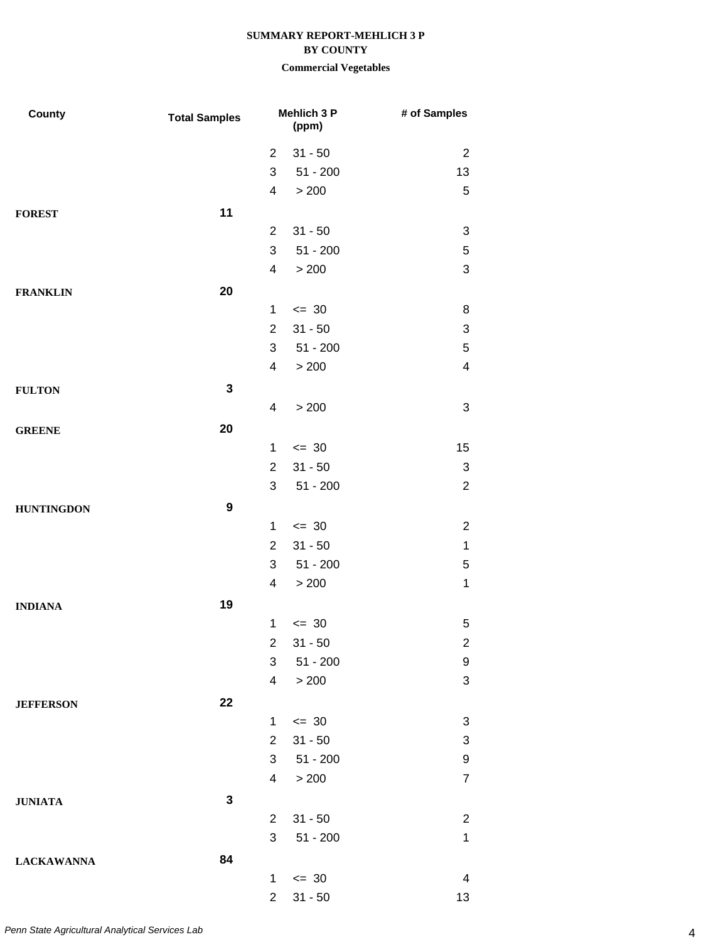| County            | <b>Total Samples</b> |                | Mehlich 3 P<br>(ppm) | # of Samples              |
|-------------------|----------------------|----------------|----------------------|---------------------------|
|                   |                      | $\overline{2}$ | $31 - 50$            | $\overline{2}$            |
|                   |                      | 3              | $51 - 200$           | 13                        |
|                   |                      | 4              | > 200                | $\mathbf 5$               |
| <b>FOREST</b>     | 11                   |                |                      |                           |
|                   |                      | $\overline{2}$ | $31 - 50$            | 3                         |
|                   |                      | 3              | $51 - 200$           | 5                         |
|                   |                      | $\overline{4}$ | > 200                | $\sqrt{3}$                |
| <b>FRANKLIN</b>   | 20                   |                |                      |                           |
|                   |                      | 1              | $\leq$ 30            | 8                         |
|                   |                      | $\overline{2}$ | $31 - 50$            | $\ensuremath{\mathsf{3}}$ |
|                   |                      | 3              | $51 - 200$           | $\mathbf 5$               |
|                   |                      | $\overline{4}$ | > 200                | $\overline{\mathcal{A}}$  |
| <b>FULTON</b>     | $\mathbf 3$          |                |                      |                           |
|                   |                      | 4              | > 200                | $\sqrt{3}$                |
| <b>GREENE</b>     | 20                   |                |                      |                           |
|                   |                      | $\mathbf{1}$   | $\leq$ 30            | 15                        |
|                   |                      | $\overline{2}$ | $31 - 50$            | $\ensuremath{\mathsf{3}}$ |
|                   |                      | 3              | $51 - 200$           | $\overline{2}$            |
| <b>HUNTINGDON</b> | 9                    |                |                      |                           |
|                   |                      | $\mathbf 1$    | $\leq$ 30            | $\overline{c}$            |
|                   |                      | $\overline{2}$ | $31 - 50$            | $\mathbf{1}$              |
|                   |                      | 3              | $51 - 200$           | 5                         |
|                   |                      | $\overline{4}$ | > 200                | 1                         |
| <b>INDIANA</b>    | 19                   |                |                      |                           |
|                   |                      | $\mathbf 1$    | $= 30$               | 5                         |
|                   |                      | $\overline{2}$ | $31 - 50$            | 2                         |
|                   |                      | 3              | $51 - 200$           | 9                         |
|                   |                      | 4              | $>200$               | 3                         |
| <b>JEFFERSON</b>  | 22                   |                |                      |                           |
|                   |                      | $\mathbf{1}$   | $\leq$ 30            | $\sqrt{3}$                |
|                   |                      | $\overline{2}$ | $31 - 50$            | 3                         |
|                   |                      | 3 <sup>1</sup> | 51 - 200             | 9                         |
|                   |                      | $\overline{4}$ | > 200                | $\overline{7}$            |
| <b>JUNIATA</b>    | $\mathbf 3$          |                |                      |                           |
|                   |                      | $\overline{2}$ | $31 - 50$            | $\overline{c}$            |
|                   |                      | 3              | $51 - 200$           | $\mathbf{1}$              |
| <b>LACKAWANNA</b> | 84                   |                |                      |                           |
|                   |                      | $\mathbf{1}$   | $\leq$ 30            | 4                         |
|                   |                      | 2 <sup>1</sup> | $31 - 50$            | 13                        |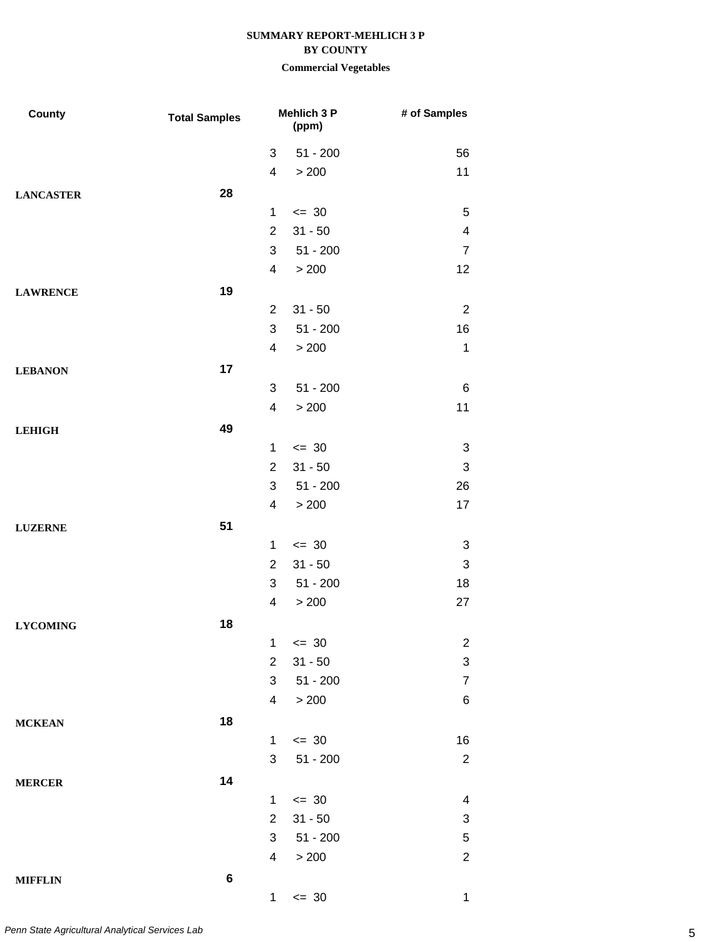| County           | <b>Total Samples</b> |                | <b>Mehlich 3 P</b><br>(ppm) | # of Samples              |
|------------------|----------------------|----------------|-----------------------------|---------------------------|
|                  |                      | 3              | $51 - 200$                  | 56                        |
|                  |                      | 4              | > 200                       | 11                        |
| <b>LANCASTER</b> | 28                   |                |                             |                           |
|                  |                      | $\mathbf{1}$   | $\leq$ 30                   | 5                         |
|                  |                      | $\overline{2}$ | $31 - 50$                   | $\overline{\mathcal{A}}$  |
|                  |                      | 3              | $51 - 200$                  | $\overline{7}$            |
|                  |                      | 4              | > 200                       | 12                        |
| <b>LAWRENCE</b>  | 19                   |                |                             |                           |
|                  |                      | $\overline{2}$ | $31 - 50$                   | $\overline{2}$            |
|                  |                      | 3              | $51 - 200$                  | 16                        |
|                  |                      | 4              | > 200                       | $\mathbf 1$               |
| <b>LEBANON</b>   | 17                   |                |                             |                           |
|                  |                      | 3              | $51 - 200$                  | 6                         |
|                  |                      | 4              | > 200                       | 11                        |
| <b>LEHIGH</b>    | 49                   |                |                             |                           |
|                  |                      | $\mathbf 1$    | $\leq$ 30                   | 3                         |
|                  |                      | $\overline{2}$ | $31 - 50$                   | $\ensuremath{\mathsf{3}}$ |
|                  |                      | 3              | $51 - 200$                  | 26                        |
|                  |                      | 4              | > 200                       | 17                        |
| <b>LUZERNE</b>   | 51                   |                |                             |                           |
|                  |                      | $\mathbf{1}$   | $= 30$                      | 3                         |
|                  |                      | $\overline{2}$ | $31 - 50$                   | $\sqrt{3}$                |
|                  |                      | 3              | $51 - 200$                  | 18                        |
|                  |                      | 4              | > 200                       | 27                        |
| <b>LYCOMING</b>  | 18                   |                |                             |                           |
|                  |                      | 1              | $\leq$ 30                   | 2                         |
|                  |                      | $\overline{2}$ | $31 - 50$                   | 3                         |
|                  |                      | 3              | $51 - 200$                  | $\overline{7}$            |
|                  |                      | 4              | > 200                       | $\,6$                     |
| <b>MCKEAN</b>    | 18                   |                |                             |                           |
|                  |                      | $\mathbf{1}$   | $\leq$ 30                   | 16                        |
|                  |                      | 3              | $51 - 200$                  | $\overline{2}$            |
| <b>MERCER</b>    | 14                   |                |                             |                           |
|                  |                      | $\mathbf{1}$   | $\leq$ 30                   | 4                         |
|                  |                      | $\overline{2}$ | $31 - 50$                   | 3                         |
|                  |                      | 3              | $51 - 200$                  | 5                         |
|                  |                      | 4              | > 200                       | $\overline{c}$            |
| <b>MIFFLIN</b>   | 6                    |                |                             |                           |
|                  |                      | $\mathbf{1}$   | $\leq$ 30                   | $\mathbf{1}$              |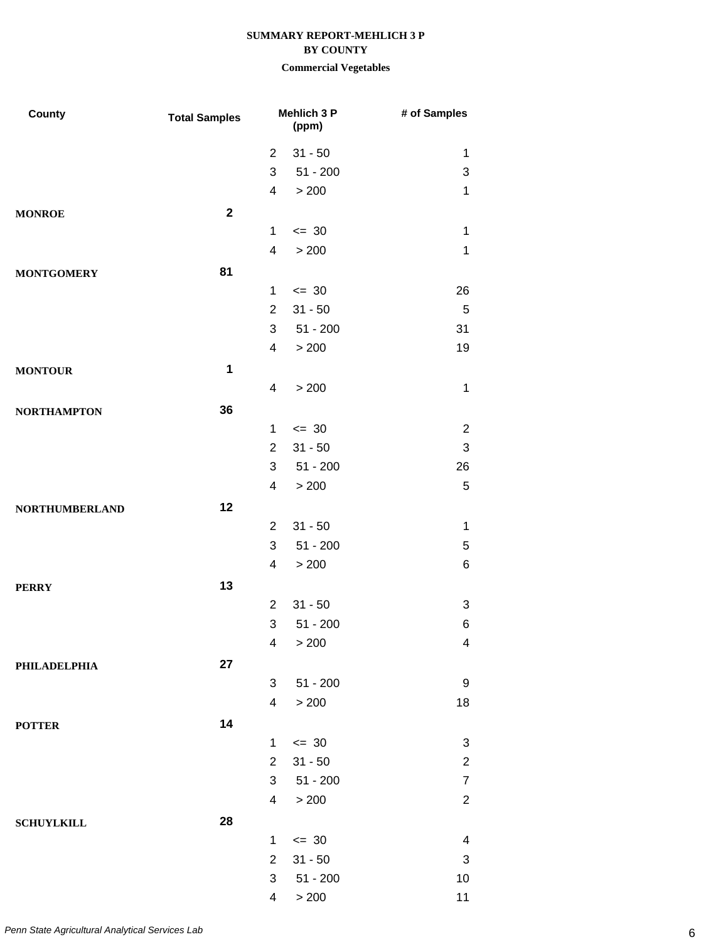| County                | <b>Total Samples</b> |                | Mehlich 3 P<br>(ppm) | # of Samples              |
|-----------------------|----------------------|----------------|----------------------|---------------------------|
|                       |                      | $\overline{2}$ | $31 - 50$            | 1                         |
|                       |                      | 3              | $51 - 200$           | 3                         |
|                       |                      | $\overline{4}$ | > 200                | $\mathbf{1}$              |
| <b>MONROE</b>         | $\mathbf{2}$         |                |                      |                           |
|                       |                      | 1              | $= 30$               | $\mathbf 1$               |
|                       |                      | 4              | > 200                | 1                         |
| <b>MONTGOMERY</b>     | 81                   |                |                      |                           |
|                       |                      | 1              | $\leq$ 30            | 26                        |
|                       |                      | $\overline{2}$ | $31 - 50$            | $\sqrt{5}$                |
|                       |                      | 3              | $51 - 200$           | 31                        |
|                       |                      | $\overline{4}$ | > 200                | 19                        |
| <b>MONTOUR</b>        | 1                    |                |                      |                           |
|                       |                      | 4              | > 200                | $\mathbf 1$               |
| <b>NORTHAMPTON</b>    | 36                   |                |                      |                           |
|                       |                      | 1              | $\leq$ 30            | $\overline{2}$            |
|                       |                      | $\overline{2}$ | $31 - 50$            | $\ensuremath{\mathsf{3}}$ |
|                       |                      | 3              | $51 - 200$           | 26                        |
|                       |                      | 4              | > 200                | $\mathbf 5$               |
| <b>NORTHUMBERLAND</b> | 12                   |                |                      |                           |
|                       |                      | $\overline{2}$ | $31 - 50$            | $\mathbf 1$               |
|                       |                      | 3              | $51 - 200$           | $\mathbf 5$               |
|                       |                      | 4              | > 200                | 6                         |
| <b>PERRY</b>          | 13                   |                |                      |                           |
|                       |                      | $\overline{2}$ | $31 - 50$            | 3                         |
|                       |                      | 3              | $51 - 200$           | 6                         |
|                       |                      | 4              | > 200                | 4                         |
| PHILADELPHIA          | 27                   |                |                      |                           |
|                       |                      | 3              | $51 - 200$           | 9                         |
|                       |                      | 4              | > 200                | 18                        |
| <b>POTTER</b>         | 14                   |                |                      |                           |
|                       |                      | 1              | $\leq$ 30            | $\sqrt{3}$                |
|                       |                      | $\overline{2}$ | $31 - 50$            | $\overline{c}$            |
|                       |                      | 3              | $51 - 200$           | 7                         |
|                       |                      | $\overline{4}$ | > 200                | $\overline{2}$            |
| <b>SCHUYLKILL</b>     | 28                   |                |                      |                           |
|                       |                      | 1              | $\leq$ 30            | $\overline{\mathbf{4}}$   |
|                       |                      | $\overline{2}$ | $31 - 50$            | 3                         |
|                       |                      | 3              | $51 - 200$           | 10                        |
|                       |                      | 4              | > 200                | 11                        |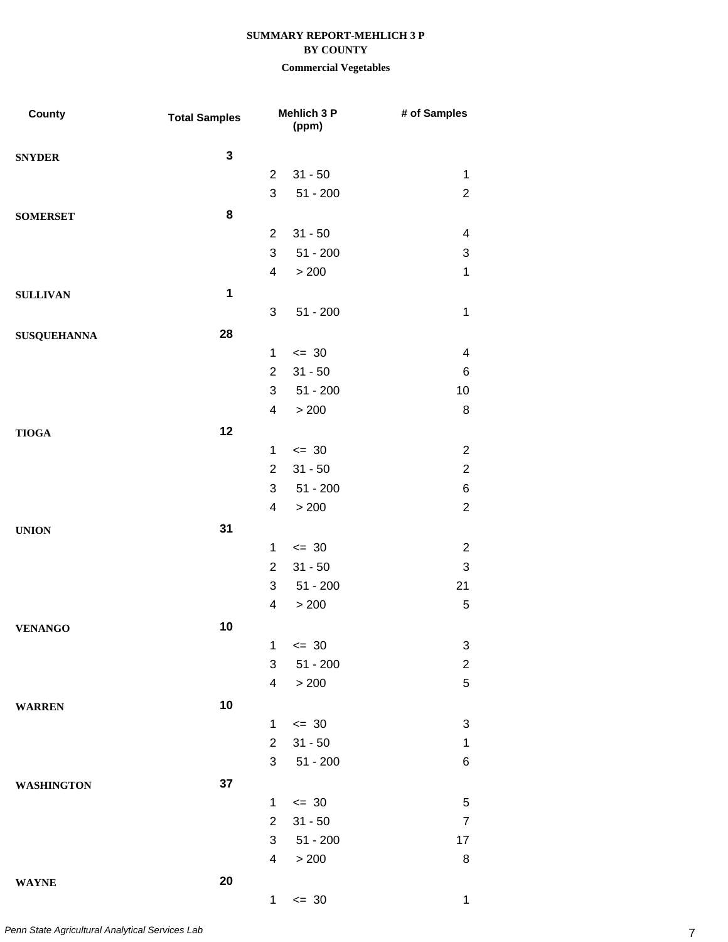| County             | <b>Total Samples</b> |                | Mehlich 3 P<br>(ppm) | # of Samples              |
|--------------------|----------------------|----------------|----------------------|---------------------------|
| <b>SNYDER</b>      | $\mathbf 3$          |                |                      |                           |
|                    |                      | $\overline{2}$ | $31 - 50$            | 1                         |
|                    |                      | 3              | $51 - 200$           | $\overline{c}$            |
| <b>SOMERSET</b>    | 8                    |                |                      |                           |
|                    |                      | $\overline{2}$ | $31 - 50$            | $\overline{4}$            |
|                    |                      | 3              | $51 - 200$           | $\sqrt{3}$                |
|                    |                      | $\overline{4}$ | > 200                | $\mathbf 1$               |
| <b>SULLIVAN</b>    | 1                    |                |                      |                           |
|                    |                      | $\mathfrak{S}$ | $51 - 200$           | $\mathbf 1$               |
| <b>SUSQUEHANNA</b> | 28                   |                |                      |                           |
|                    |                      | $\mathbf{1}$   | $\leq$ 30            | $\overline{4}$            |
|                    |                      | $\overline{2}$ | $31 - 50$            | 6                         |
|                    |                      | 3              | $51 - 200$           | 10                        |
|                    |                      | $\overline{4}$ | > 200                | 8                         |
| <b>TIOGA</b>       | 12                   |                |                      |                           |
|                    |                      | 1              | $= 30$               | $\overline{2}$            |
|                    |                      | $\overline{2}$ | $31 - 50$            | $\overline{2}$            |
|                    |                      | 3              | $51 - 200$           | 6                         |
|                    |                      | $\overline{4}$ | > 200                | $\sqrt{2}$                |
| <b>UNION</b>       | 31                   |                |                      |                           |
|                    |                      | $\mathbf{1}$   | $\leq$ 30            | $\overline{2}$            |
|                    |                      | $\overline{2}$ | $31 - 50$            | $\sqrt{3}$                |
|                    |                      | 3              | $51 - 200$           | 21                        |
|                    |                      | $\overline{4}$ | > 200                | 5                         |
| <b>VENANGO</b>     | 10                   |                |                      |                           |
|                    |                      | 1              | $= 30$               | $\ensuremath{\mathsf{3}}$ |
|                    |                      | 3              | $51 - 200$           | $\overline{c}$            |
|                    |                      | $\overline{4}$ | > 200                | $\sqrt{5}$                |
| <b>WARREN</b>      | 10                   |                |                      |                           |
|                    |                      | 1              | $\leq$ 30            | 3                         |
|                    |                      | $\overline{2}$ | $31 - 50$            | $\mathbf{1}$              |
|                    |                      | 3              | 51 - 200             | 6                         |
| <b>WASHINGTON</b>  | 37                   |                |                      |                           |
|                    |                      | $\mathbf{1}$   | $\leq$ 30            | 5                         |
|                    |                      | $\overline{2}$ | $31 - 50$            | $\overline{7}$            |
|                    |                      | 3              | $51 - 200$           | 17                        |
|                    |                      | $\overline{4}$ | > 200                | 8                         |
| <b>WAYNE</b>       | 20                   |                |                      |                           |
|                    |                      | 1              | $\leq$ 30            | 1                         |